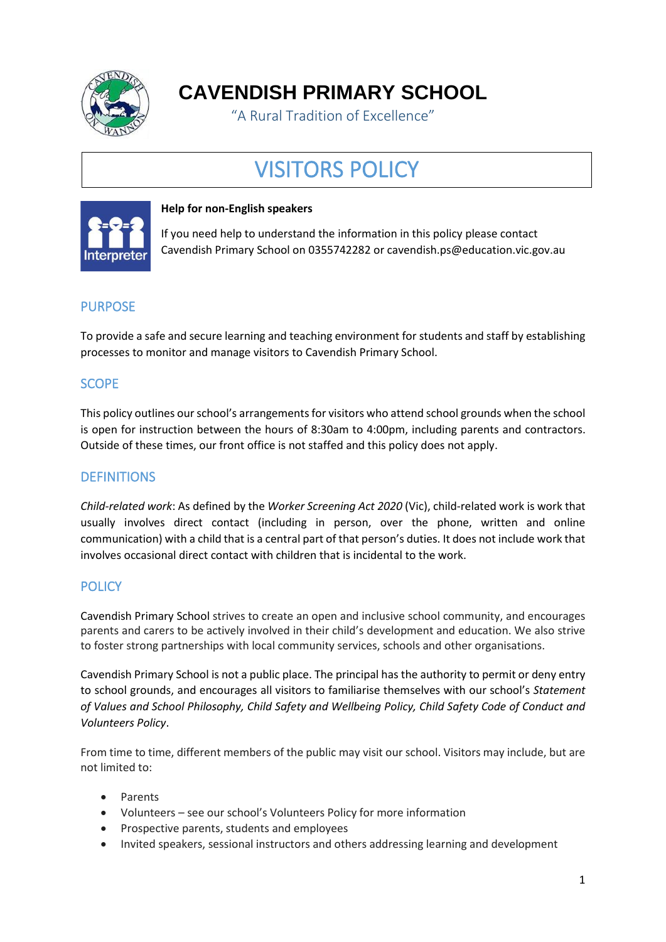

**CAVENDISH PRIMARY SCHOOL**

"A Rural Tradition of Excellence"

# VISITORS POLICY



#### **Help for non-English speakers**

If you need help to understand the information in this policy please contact Cavendish Primary School on 0355742282 or cavendish.ps@education.vic.gov.au

# PURPOSE

To provide a safe and secure learning and teaching environment for students and staff by establishing processes to monitor and manage visitors to Cavendish Primary School.

# **SCOPE**

This policy outlines our school's arrangements for visitors who attend school grounds when the school is open for instruction between the hours of 8:30am to 4:00pm, including parents and contractors. Outside of these times, our front office is not staffed and this policy does not apply.

## **DEFINITIONS**

*Child-related work*: As defined by the *Worker Screening Act 2020* (Vic), child-related work is work that usually involves direct contact (including in person, over the phone, written and online communication) with a child that is a central part of that person's duties. It does not include work that involves occasional direct contact with children that is incidental to the work.

## **POLICY**

Cavendish Primary School strives to create an open and inclusive school community, and encourages parents and carers to be actively involved in their child's development and education. We also strive to foster strong partnerships with local community services, schools and other organisations.

Cavendish Primary School is not a public place. The principal has the authority to permit or deny entry to school grounds, and encourages all visitors to familiarise themselves with our school's *Statement of Values and School Philosophy, Child Safety and Wellbeing Policy, Child Safety Code of Conduct and Volunteers Policy*.

From time to time, different members of the public may visit our school. Visitors may include, but are not limited to:

- Parents
- Volunteers see our school's Volunteers Policy for more information
- Prospective parents, students and employees
- Invited speakers, sessional instructors and others addressing learning and development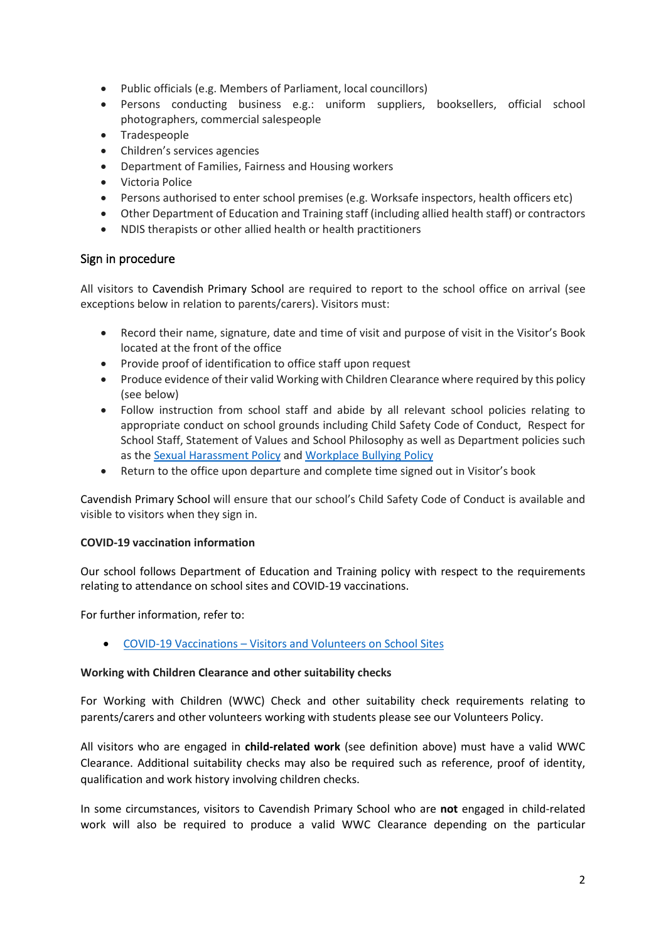- Public officials (e.g. Members of Parliament, local councillors)
- Persons conducting business e.g.: uniform suppliers, booksellers, official school photographers, commercial salespeople
- Tradespeople
- Children's services agencies
- Department of Families, Fairness and Housing workers
- Victoria Police
- Persons authorised to enter school premises (e.g. Worksafe inspectors, health officers etc)
- Other Department of Education and Training staff (including allied health staff) or contractors
- NDIS therapists or other allied health or health practitioners

#### Sign in procedure

All visitors to Cavendish Primary School are required to report to the school office on arrival (see exceptions below in relation to parents/carers). Visitors must:

- Record their name, signature, date and time of visit and purpose of visit in the Visitor's Book located at the front of the office
- Provide proof of identification to office staff upon request
- Produce evidence of their valid Working with Children Clearance where required by this policy (see below)
- Follow instruction from school staff and abide by all relevant school policies relating to appropriate conduct on school grounds including Child Safety Code of Conduct, Respect for School Staff, Statement of Values and School Philosophy as well as Department policies such as th[e Sexual Harassment Policy](https://www2.education.vic.gov.au/pal/sexual-harassment/overview) and [Workplace Bullying Policy](https://www2.education.vic.gov.au/pal/workplace-bullying/policy)
- Return to the office upon departure and complete time signed out in Visitor's book

Cavendish Primary School will ensure that our school's Child Safety Code of Conduct is available and visible to visitors when they sign in.

#### **COVID-19 vaccination information**

Our school follows Department of Education and Training policy with respect to the requirements relating to attendance on school sites and COVID-19 vaccinations.

For further information, refer to:

• COVID-19 Vaccinations – [Visitors and Volunteers on School Sites](https://www2.education.vic.gov.au/pal/covid-19-vaccinations-visitors-volunteers/policy)

#### **Working with Children Clearance and other suitability checks**

For Working with Children (WWC) Check and other suitability check requirements relating to parents/carers and other volunteers working with students please see our Volunteers Policy.

All visitors who are engaged in **child-related work** (see definition above) must have a valid WWC Clearance. Additional suitability checks may also be required such as reference, proof of identity, qualification and work history involving children checks.

In some circumstances, visitors to Cavendish Primary School who are **not** engaged in child-related work will also be required to produce a valid WWC Clearance depending on the particular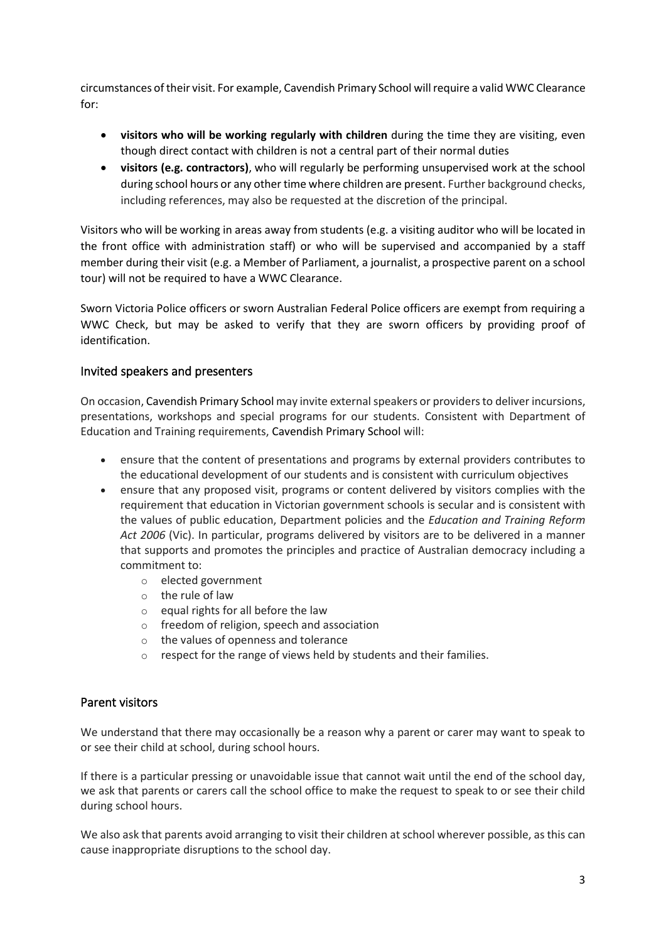circumstances of their visit. For example, Cavendish Primary School will require a valid WWC Clearance for:

- **visitors who will be working regularly with children** during the time they are visiting, even though direct contact with children is not a central part of their normal duties
- **visitors (e.g. contractors)**, who will regularly be performing unsupervised work at the school during school hours or any other time where children are present. Further background checks, including references, may also be requested at the discretion of the principal.

Visitors who will be working in areas away from students (e.g. a visiting auditor who will be located in the front office with administration staff) or who will be supervised and accompanied by a staff member during their visit (e.g. a Member of Parliament, a journalist, a prospective parent on a school tour) will not be required to have a WWC Clearance.

Sworn Victoria Police officers or sworn Australian Federal Police officers are exempt from requiring a WWC Check, but may be asked to verify that they are sworn officers by providing proof of identification.

### Invited speakers and presenters

On occasion, Cavendish Primary School may invite externalspeakers or providersto deliver incursions, presentations, workshops and special programs for our students. Consistent with Department of Education and Training requirements, Cavendish Primary School will:

- ensure that the content of presentations and programs by external providers contributes to the educational development of our students and is consistent with curriculum objectives
- ensure that any proposed visit, programs or content delivered by visitors complies with the requirement that education in Victorian government schools is secular and is consistent with the values of public education, Department policies and the *Education and Training Reform Act 2006* (Vic). In particular, programs delivered by visitors are to be delivered in a manner that supports and promotes the principles and practice of Australian democracy including a commitment to:
	- o elected government
	- o the rule of law
	- o equal rights for all before the law
	- o freedom of religion, speech and association
	- o the values of openness and tolerance
	- o respect for the range of views held by students and their families.

## Parent visitors

We understand that there may occasionally be a reason why a parent or carer may want to speak to or see their child at school, during school hours.

If there is a particular pressing or unavoidable issue that cannot wait until the end of the school day, we ask that parents or carers call the school office to make the request to speak to or see their child during school hours.

We also ask that parents avoid arranging to visit their children at school wherever possible, as this can cause inappropriate disruptions to the school day.